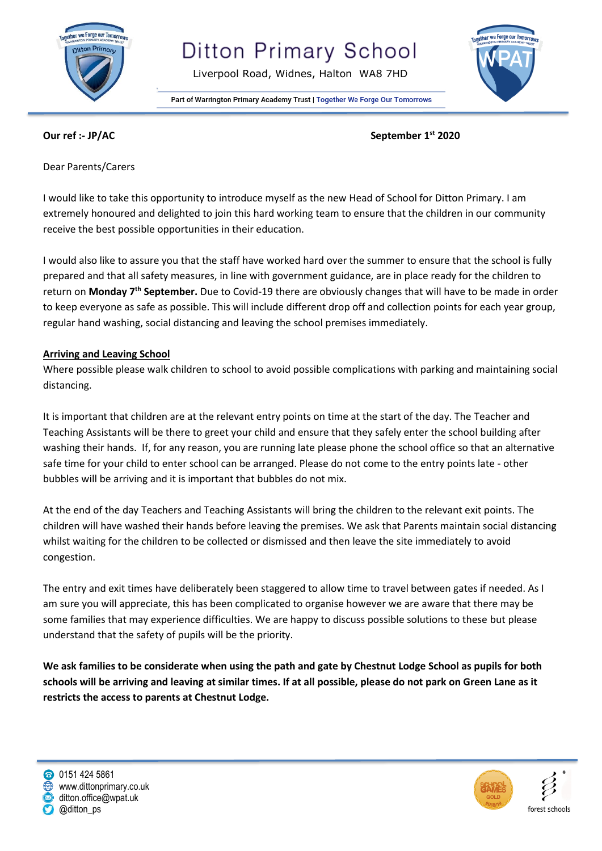

# **Ditton Primary School**

Liverpool Road, Widnes, Halton WA8 7HD





**Our ref :- JP/AC September 1st 2020**

Dear Parents/Carers

I would like to take this opportunity to introduce myself as the new Head of School for Ditton Primary. I am extremely honoured and delighted to join this hard working team to ensure that the children in our community receive the best possible opportunities in their education.

I would also like to assure you that the staff have worked hard over the summer to ensure that the school is fully prepared and that all safety measures, in line with government guidance, are in place ready for the children to return on **Monday 7th September.** Due to Covid-19 there are obviously changes that will have to be made in order to keep everyone as safe as possible. This will include different drop off and collection points for each year group, regular hand washing, social distancing and leaving the school premises immediately.

#### **Arriving and Leaving School**

Where possible please walk children to school to avoid possible complications with parking and maintaining social distancing.

It is important that children are at the relevant entry points on time at the start of the day. The Teacher and Teaching Assistants will be there to greet your child and ensure that they safely enter the school building after washing their hands. If, for any reason, you are running late please phone the school office so that an alternative safe time for your child to enter school can be arranged. Please do not come to the entry points late - other bubbles will be arriving and it is important that bubbles do not mix.

At the end of the day Teachers and Teaching Assistants will bring the children to the relevant exit points. The children will have washed their hands before leaving the premises. We ask that Parents maintain social distancing whilst waiting for the children to be collected or dismissed and then leave the site immediately to avoid congestion.

The entry and exit times have deliberately been staggered to allow time to travel between gates if needed. As I am sure you will appreciate, this has been complicated to organise however we are aware that there may be some families that may experience difficulties. We are happy to discuss possible solutions to these but please understand that the safety of pupils will be the priority.

**We ask families to be considerate when using the path and gate by Chestnut Lodge School as pupils for both schools will be arriving and leaving at similar times. If at all possible, please do not park on Green Lane as it restricts the access to parents at Chestnut Lodge.**

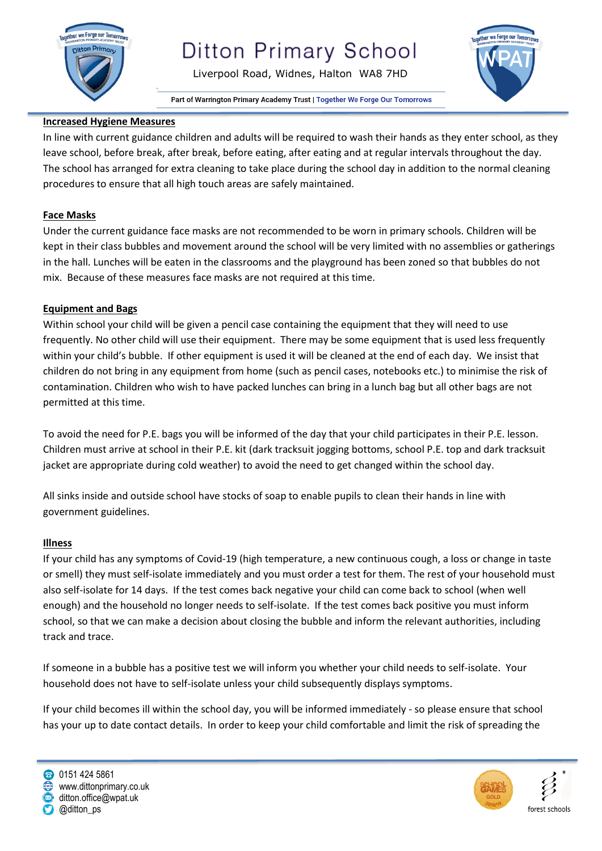

# **Ditton Primary School**

Liverpool Road, Widnes, Halton WA8 7HD

Part of Warrington Primary Academy Trust | Together We Forge Our Tomorrows



### **Increased Hygiene Measures**

In line with current guidance children and adults will be required to wash their hands as they enter school, as they leave school, before break, after break, before eating, after eating and at regular intervals throughout the day. The school has arranged for extra cleaning to take place during the school day in addition to the normal cleaning procedures to ensure that all high touch areas are safely maintained.

### **Face Masks**

Under the current guidance face masks are not recommended to be worn in primary schools. Children will be kept in their class bubbles and movement around the school will be very limited with no assemblies or gatherings in the hall. Lunches will be eaten in the classrooms and the playground has been zoned so that bubbles do not mix. Because of these measures face masks are not required at this time.

#### **Equipment and Bags**

Within school your child will be given a pencil case containing the equipment that they will need to use frequently. No other child will use their equipment. There may be some equipment that is used less frequently within your child's bubble. If other equipment is used it will be cleaned at the end of each day. We insist that children do not bring in any equipment from home (such as pencil cases, notebooks etc.) to minimise the risk of contamination. Children who wish to have packed lunches can bring in a lunch bag but all other bags are not permitted at this time.

To avoid the need for P.E. bags you will be informed of the day that your child participates in their P.E. lesson. Children must arrive at school in their P.E. kit (dark tracksuit jogging bottoms, school P.E. top and dark tracksuit jacket are appropriate during cold weather) to avoid the need to get changed within the school day.

All sinks inside and outside school have stocks of soap to enable pupils to clean their hands in line with government guidelines.

#### **Illness**

If your child has any symptoms of Covid-19 (high temperature, a new continuous cough, a loss or change in taste or smell) they must self-isolate immediately and you must order a test for them. The rest of your household must also self-isolate for 14 days. If the test comes back negative your child can come back to school (when well enough) and the household no longer needs to self-isolate. If the test comes back positive you must inform school, so that we can make a decision about closing the bubble and inform the relevant authorities, including track and trace.

If someone in a bubble has a positive test we will inform you whether your child needs to self-isolate. Your household does not have to self-isolate unless your child subsequently displays symptoms.

If your child becomes ill within the school day, you will be informed immediately - so please ensure that school has your up to date contact details. In order to keep your child comfortable and limit the risk of spreading the